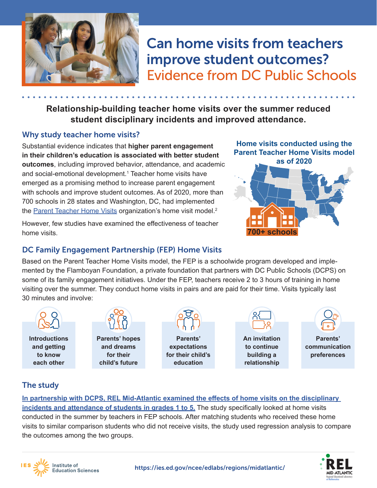

# improve student outcomes? Can home visits from teachers Evidence from DC Public Schools

**Relationship-building teacher home visits over the summer reduced student disciplinary incidents and improved attendance.**

## Why study teacher home visits?

Substantial evidence indicates that **higher parent engagement in their children's education is associated with better student outcomes**, including improved behavior, attendance, and academic and social-emotional development.[1](#page-1-0) Teacher home visits have emerged as a promising method to increase parent engagement with schools and improve student outcomes. As of 2020, more than 700 schools in 28 states and Washington, DC, had implemented the [Parent Teacher Home Visits](https://www.pthvp.org/what-we-do/pthv-model/) organization's home visit model.<sup>2</sup>

However, few studies have examined the effectiveness of teacher home visits.

**Home visits conducted using the Parent Teacher Home Visits model as of 2020**



## DC Family Engagement Partnership (FEP) Home Visits

Based on the Parent Teacher Home Visits model, the FEP is a schoolwide program developed and implemented by the Flamboyan Foundation, a private foundation that partners with DC Public Schools (DCPS) on some of its family engagement initiatives. Under the FEP, teachers receive 2 to 3 hours of training in home visiting over the summer. They conduct home visits in pairs and are paid for their time. Visits typically last 30 minutes and involve:



**Introductions and getting to know each other**

**Institute of Education Sciences** 



**Parents' hopes and dreams for their child's future**



**expectations for their child's education**



**An invitation to continue building a relationship**



**Parents' communication preferences**

# The study

**[In partnership with DCPS, REL Mid-Atlantic examined the effects of home visits on the disciplinary](https://ies.ed.gov/ncee/edlabs/projects/project.asp?projectID=4597)  [incidents and attendance of students in grades 1 to 5.](https://ies.ed.gov/ncee/edlabs/projects/project.asp?projectID=4597)** The study specifically looked at home visits conducted in the summer by teachers in FEP schools. After matching students who received these home visits to similar comparison students who did not receive visits, the study used regression analysis to compare the outcomes among the two groups.